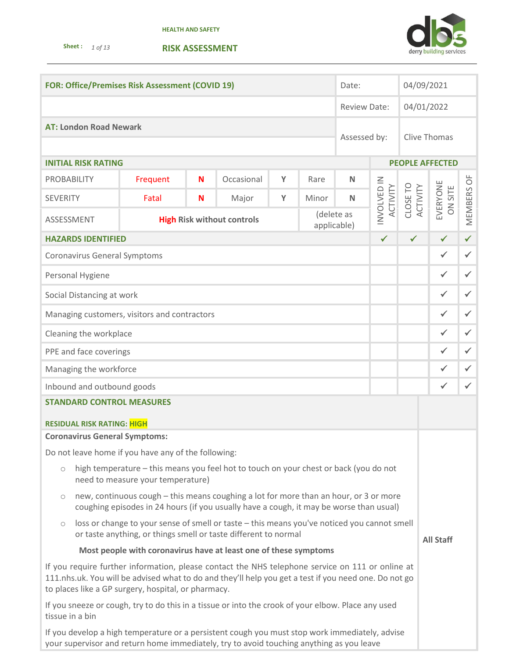**Sheet :** *1 of 13* 





| <b>FOR: Office/Premises Risk Assessment (COVID 19)</b>                                                                                                                                                                                                           |                                                                |   |            | Date:        |       | 04/09/2021   |                         |              |                                        |                        |              |
|------------------------------------------------------------------------------------------------------------------------------------------------------------------------------------------------------------------------------------------------------------------|----------------------------------------------------------------|---|------------|--------------|-------|--------------|-------------------------|--------------|----------------------------------------|------------------------|--------------|
|                                                                                                                                                                                                                                                                  |                                                                |   |            | Review Date: |       | 04/01/2022   |                         |              |                                        |                        |              |
| <b>AT: London Road Newark</b>                                                                                                                                                                                                                                    |                                                                |   |            |              |       |              |                         |              |                                        |                        |              |
|                                                                                                                                                                                                                                                                  |                                                                |   |            |              |       | Assessed by: | <b>Clive Thomas</b>     |              |                                        |                        |              |
| <b>INITIAL RISK RATING</b>                                                                                                                                                                                                                                       |                                                                |   |            |              |       |              |                         |              |                                        | <b>PEOPLE AFFECTED</b> |              |
| <b>PROBABILITY</b>                                                                                                                                                                                                                                               | Frequent                                                       | N | Occasional | Y            | Rare  | $\mathsf{N}$ |                         |              |                                        |                        |              |
| <b>SEVERITY</b>                                                                                                                                                                                                                                                  | Fatal                                                          | N | Major      | Y            | Minor | N            | INVOLVED IN<br>ACTIVITY | CLOSE TO     | EVERYONE<br>ACTIVITY<br><b>ON SITE</b> | MEMBERS OF             |              |
| ASSESSMENT                                                                                                                                                                                                                                                       | (delete as<br><b>High Risk without controls</b><br>applicable) |   |            |              |       |              |                         |              |                                        |                        |              |
| <b>HAZARDS IDENTIFIED</b>                                                                                                                                                                                                                                        |                                                                |   |            |              |       |              | $\checkmark$            | $\checkmark$ |                                        | $\checkmark$           | $\checkmark$ |
| <b>Coronavirus General Symptoms</b>                                                                                                                                                                                                                              |                                                                |   |            |              |       |              |                         |              |                                        | $\checkmark$           | $\checkmark$ |
| Personal Hygiene                                                                                                                                                                                                                                                 |                                                                |   |            |              |       |              |                         |              |                                        | $\checkmark$           | $\checkmark$ |
| Social Distancing at work                                                                                                                                                                                                                                        |                                                                |   |            |              |       |              |                         |              |                                        | $\checkmark$           | $\checkmark$ |
| Managing customers, visitors and contractors                                                                                                                                                                                                                     |                                                                |   |            |              |       |              |                         |              |                                        | $\checkmark$           | $\checkmark$ |
| Cleaning the workplace                                                                                                                                                                                                                                           |                                                                |   |            |              |       | $\checkmark$ | $\checkmark$            |              |                                        |                        |              |
| PPE and face coverings                                                                                                                                                                                                                                           |                                                                |   |            |              |       | $\checkmark$ | $\checkmark$            |              |                                        |                        |              |
| Managing the workforce                                                                                                                                                                                                                                           |                                                                |   |            |              |       |              | $\checkmark$            | $\checkmark$ |                                        |                        |              |
| Inbound and outbound goods                                                                                                                                                                                                                                       |                                                                |   |            |              |       | ✓            | $\checkmark$            |              |                                        |                        |              |
| <b>STANDARD CONTROL MEASURES</b>                                                                                                                                                                                                                                 |                                                                |   |            |              |       |              |                         |              |                                        |                        |              |
| <b>RESIDUAL RISK RATING: HIGH</b>                                                                                                                                                                                                                                |                                                                |   |            |              |       |              |                         |              |                                        |                        |              |
| <b>Coronavirus General Symptoms:</b>                                                                                                                                                                                                                             |                                                                |   |            |              |       |              |                         |              |                                        |                        |              |
| Do not leave home if you have any of the following:                                                                                                                                                                                                              |                                                                |   |            |              |       |              |                         |              |                                        |                        |              |
| high temperature - this means you feel hot to touch on your chest or back (you do not<br>$\circ$<br>need to measure your temperature)                                                                                                                            |                                                                |   |            |              |       |              |                         |              |                                        |                        |              |
| new, continuous cough - this means coughing a lot for more than an hour, or 3 or more<br>$\circ$<br>coughing episodes in 24 hours (if you usually have a cough, it may be worse than usual)                                                                      |                                                                |   |            |              |       |              |                         |              |                                        |                        |              |
| loss or change to your sense of smell or taste - this means you've noticed you cannot smell<br>$\bigcirc$<br>or taste anything, or things smell or taste different to normal<br><b>All Staff</b>                                                                 |                                                                |   |            |              |       |              |                         |              |                                        |                        |              |
| Most people with coronavirus have at least one of these symptoms                                                                                                                                                                                                 |                                                                |   |            |              |       |              |                         |              |                                        |                        |              |
| If you require further information, please contact the NHS telephone service on 111 or online at<br>111.nhs.uk. You will be advised what to do and they'll help you get a test if you need one. Do not go<br>to places like a GP surgery, hospital, or pharmacy. |                                                                |   |            |              |       |              |                         |              |                                        |                        |              |
| If you sneeze or cough, try to do this in a tissue or into the crook of your elbow. Place any used<br>tissue in a bin                                                                                                                                            |                                                                |   |            |              |       |              |                         |              |                                        |                        |              |
| If you develop a high temperature or a persistent cough you must stop work immediately, advise                                                                                                                                                                   |                                                                |   |            |              |       |              |                         |              |                                        |                        |              |

your supervisor and return home immediately, try to avoid touching anything as you leave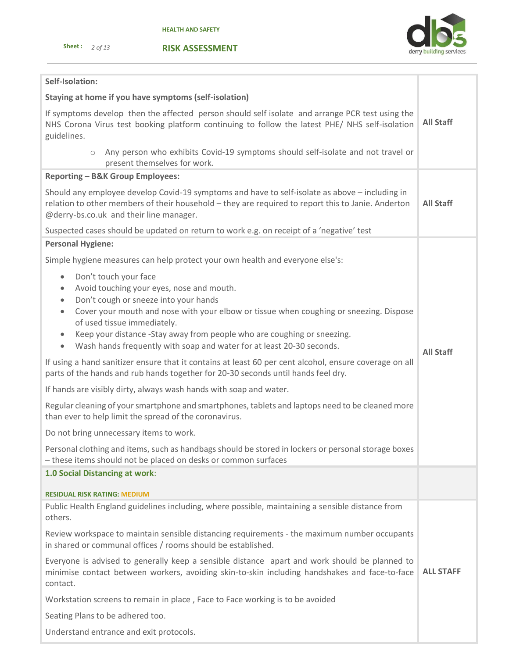

## **RISK ASSESSMENT**

| Self-Isolation:                                                                                                                                                                                                                                                                                                                                                                                                                                                        |                  |
|------------------------------------------------------------------------------------------------------------------------------------------------------------------------------------------------------------------------------------------------------------------------------------------------------------------------------------------------------------------------------------------------------------------------------------------------------------------------|------------------|
| Staying at home if you have symptoms (self-isolation)                                                                                                                                                                                                                                                                                                                                                                                                                  |                  |
| If symptoms develop then the affected person should self isolate and arrange PCR test using the<br>NHS Corona Virus test booking platform continuing to follow the latest PHE/NHS self-isolation<br>guidelines.                                                                                                                                                                                                                                                        | <b>All Staff</b> |
| Any person who exhibits Covid-19 symptoms should self-isolate and not travel or<br>$\circ$<br>present themselves for work.                                                                                                                                                                                                                                                                                                                                             |                  |
| Reporting - B&K Group Employees:                                                                                                                                                                                                                                                                                                                                                                                                                                       |                  |
| Should any employee develop Covid-19 symptoms and have to self-isolate as above - including in<br>relation to other members of their household - they are required to report this to Janie. Anderton<br>@derry-bs.co.uk and their line manager.                                                                                                                                                                                                                        | <b>All Staff</b> |
| Suspected cases should be updated on return to work e.g. on receipt of a 'negative' test                                                                                                                                                                                                                                                                                                                                                                               |                  |
| <b>Personal Hygiene:</b>                                                                                                                                                                                                                                                                                                                                                                                                                                               |                  |
| Simple hygiene measures can help protect your own health and everyone else's:                                                                                                                                                                                                                                                                                                                                                                                          |                  |
| Don't touch your face<br>$\bullet$<br>Avoid touching your eyes, nose and mouth.<br>$\bullet$<br>Don't cough or sneeze into your hands<br>$\bullet$<br>Cover your mouth and nose with your elbow or tissue when coughing or sneezing. Dispose<br>$\bullet$<br>of used tissue immediately.<br>Keep your distance -Stay away from people who are coughing or sneezing.<br>$\bullet$<br>Wash hands frequently with soap and water for at least 20-30 seconds.<br>$\bullet$ | <b>All Staff</b> |
| If using a hand sanitizer ensure that it contains at least 60 per cent alcohol, ensure coverage on all<br>parts of the hands and rub hands together for 20-30 seconds until hands feel dry.                                                                                                                                                                                                                                                                            |                  |
| If hands are visibly dirty, always wash hands with soap and water.                                                                                                                                                                                                                                                                                                                                                                                                     |                  |
| Regular cleaning of your smartphone and smartphones, tablets and laptops need to be cleaned more<br>than ever to help limit the spread of the coronavirus.                                                                                                                                                                                                                                                                                                             |                  |
| Do not bring unnecessary items to work.                                                                                                                                                                                                                                                                                                                                                                                                                                |                  |
| Personal clothing and items, such as handbags should be stored in lockers or personal storage boxes<br>- these items should not be placed on desks or common surfaces                                                                                                                                                                                                                                                                                                  |                  |
| 1.0 Social Distancing at work:                                                                                                                                                                                                                                                                                                                                                                                                                                         |                  |
| <b>RESIDUAL RISK RATING: MEDIUM</b>                                                                                                                                                                                                                                                                                                                                                                                                                                    |                  |
| Public Health England guidelines including, where possible, maintaining a sensible distance from<br>others.                                                                                                                                                                                                                                                                                                                                                            |                  |
| Review workspace to maintain sensible distancing requirements - the maximum number occupants<br>in shared or communal offices / rooms should be established.                                                                                                                                                                                                                                                                                                           |                  |
| Everyone is advised to generally keep a sensible distance apart and work should be planned to<br>minimise contact between workers, avoiding skin-to-skin including handshakes and face-to-face<br>contact.                                                                                                                                                                                                                                                             | <b>ALL STAFF</b> |
| Workstation screens to remain in place, Face to Face working is to be avoided                                                                                                                                                                                                                                                                                                                                                                                          |                  |
| Seating Plans to be adhered too.                                                                                                                                                                                                                                                                                                                                                                                                                                       |                  |
| Understand entrance and exit protocols.                                                                                                                                                                                                                                                                                                                                                                                                                                |                  |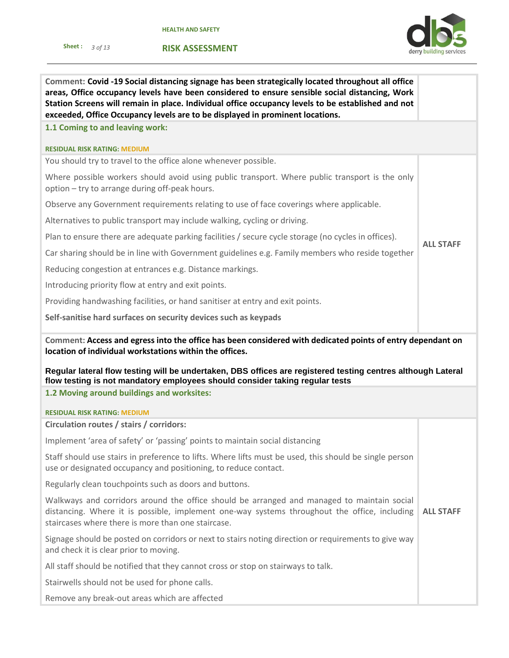**RISK ASSESSMENT**

**Sheet :** *3 of 13* 



| Comment: Covid -19 Social distancing signage has been strategically located throughout all office<br>areas, Office occupancy levels have been considered to ensure sensible social distancing, Work<br>Station Screens will remain in place. Individual office occupancy levels to be established and not<br>exceeded, Office Occupancy levels are to be displayed in prominent locations. |                  |  |  |  |
|--------------------------------------------------------------------------------------------------------------------------------------------------------------------------------------------------------------------------------------------------------------------------------------------------------------------------------------------------------------------------------------------|------------------|--|--|--|
| 1.1 Coming to and leaving work:                                                                                                                                                                                                                                                                                                                                                            |                  |  |  |  |
| <b>RESIDUAL RISK RATING: MEDIUM</b>                                                                                                                                                                                                                                                                                                                                                        |                  |  |  |  |
| You should try to travel to the office alone whenever possible.                                                                                                                                                                                                                                                                                                                            |                  |  |  |  |
| Where possible workers should avoid using public transport. Where public transport is the only<br>option - try to arrange during off-peak hours.                                                                                                                                                                                                                                           |                  |  |  |  |
| Observe any Government requirements relating to use of face coverings where applicable.                                                                                                                                                                                                                                                                                                    |                  |  |  |  |
| Alternatives to public transport may include walking, cycling or driving.                                                                                                                                                                                                                                                                                                                  |                  |  |  |  |
| Plan to ensure there are adequate parking facilities / secure cycle storage (no cycles in offices).                                                                                                                                                                                                                                                                                        |                  |  |  |  |
| Car sharing should be in line with Government guidelines e.g. Family members who reside together                                                                                                                                                                                                                                                                                           | <b>ALL STAFF</b> |  |  |  |
| Reducing congestion at entrances e.g. Distance markings.                                                                                                                                                                                                                                                                                                                                   |                  |  |  |  |
| Introducing priority flow at entry and exit points.                                                                                                                                                                                                                                                                                                                                        |                  |  |  |  |
| Providing handwashing facilities, or hand sanitiser at entry and exit points.                                                                                                                                                                                                                                                                                                              |                  |  |  |  |
| Self-sanitise hard surfaces on security devices such as keypads                                                                                                                                                                                                                                                                                                                            |                  |  |  |  |
| Comment: Access and egress into the office has been considered with dedicated points of entry dependant on<br>location of individual workstations within the offices.<br>Regular lateral flow testing will be undertaken, DBS offices are registered testing centres although Lateral<br>flow testing is not mandatory employees should consider taking regular tests                      |                  |  |  |  |
| 1.2 Moving around buildings and worksites:                                                                                                                                                                                                                                                                                                                                                 |                  |  |  |  |
| <b>RESIDUAL RISK RATING: MEDIUM</b>                                                                                                                                                                                                                                                                                                                                                        |                  |  |  |  |
| Circulation routes / stairs / corridors:                                                                                                                                                                                                                                                                                                                                                   |                  |  |  |  |
| Implement 'area of safety' or 'passing' points to maintain social distancing                                                                                                                                                                                                                                                                                                               |                  |  |  |  |
| Staff should use stairs in preference to lifts. Where lifts must be used, this should be single person<br>use or designated occupancy and positioning, to reduce contact.                                                                                                                                                                                                                  |                  |  |  |  |
| Regularly clean touchpoints such as doors and buttons.                                                                                                                                                                                                                                                                                                                                     |                  |  |  |  |
| Walkways and corridors around the office should be arranged and managed to maintain social<br>distancing. Where it is possible, implement one-way systems throughout the office, including<br>staircases where there is more than one staircase.                                                                                                                                           | <b>ALL STAFF</b> |  |  |  |
| Signage should be posted on corridors or next to stairs noting direction or requirements to give way<br>and check it is clear prior to moving.                                                                                                                                                                                                                                             |                  |  |  |  |
| All staff should be notified that they cannot cross or stop on stairways to talk.                                                                                                                                                                                                                                                                                                          |                  |  |  |  |
| Stairwells should not be used for phone calls.                                                                                                                                                                                                                                                                                                                                             |                  |  |  |  |
| Remove any break-out areas which are affected                                                                                                                                                                                                                                                                                                                                              |                  |  |  |  |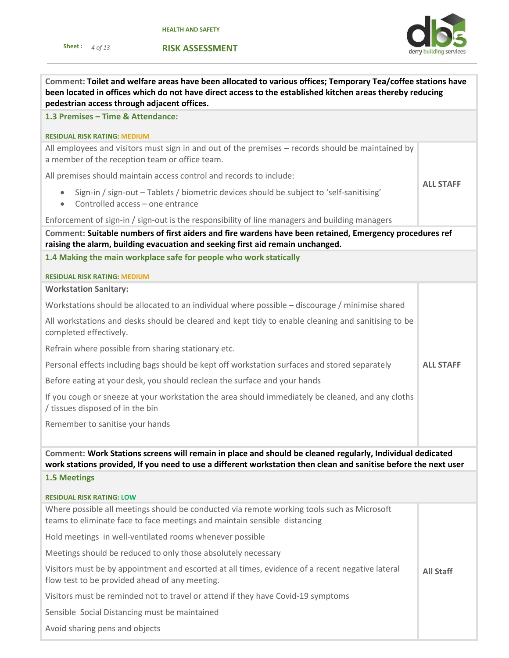**RISK ASSESSMENT**



| Comment: Toilet and welfare areas have been allocated to various offices; Temporary Tea/coffee stations have<br>been located in offices which do not have direct access to the established kitchen areas thereby reducing<br>pedestrian access through adjacent offices. |                  |  |  |  |  |
|--------------------------------------------------------------------------------------------------------------------------------------------------------------------------------------------------------------------------------------------------------------------------|------------------|--|--|--|--|
| 1.3 Premises - Time & Attendance:                                                                                                                                                                                                                                        |                  |  |  |  |  |
| <b>RESIDUAL RISK RATING: MEDIUM</b>                                                                                                                                                                                                                                      |                  |  |  |  |  |
| All employees and visitors must sign in and out of the premises - records should be maintained by<br>a member of the reception team or office team.                                                                                                                      |                  |  |  |  |  |
| All premises should maintain access control and records to include:                                                                                                                                                                                                      |                  |  |  |  |  |
| Sign-in / sign-out - Tablets / biometric devices should be subject to 'self-sanitising'<br>Controlled access - one entrance<br>$\bullet$                                                                                                                                 | <b>ALL STAFF</b> |  |  |  |  |
| Enforcement of sign-in / sign-out is the responsibility of line managers and building managers                                                                                                                                                                           |                  |  |  |  |  |
| Comment: Suitable numbers of first aiders and fire wardens have been retained, Emergency procedures ref<br>raising the alarm, building evacuation and seeking first aid remain unchanged.                                                                                |                  |  |  |  |  |
| 1.4 Making the main workplace safe for people who work statically                                                                                                                                                                                                        |                  |  |  |  |  |
| <b>RESIDUAL RISK RATING: MEDIUM</b>                                                                                                                                                                                                                                      |                  |  |  |  |  |
| <b>Workstation Sanitary:</b>                                                                                                                                                                                                                                             |                  |  |  |  |  |
| Workstations should be allocated to an individual where possible - discourage / minimise shared                                                                                                                                                                          |                  |  |  |  |  |
| All workstations and desks should be cleared and kept tidy to enable cleaning and sanitising to be<br>completed effectively.                                                                                                                                             |                  |  |  |  |  |
| Refrain where possible from sharing stationary etc.                                                                                                                                                                                                                      |                  |  |  |  |  |
| Personal effects including bags should be kept off workstation surfaces and stored separately                                                                                                                                                                            |                  |  |  |  |  |
| Before eating at your desk, you should reclean the surface and your hands                                                                                                                                                                                                |                  |  |  |  |  |
| If you cough or sneeze at your workstation the area should immediately be cleaned, and any cloths<br>/ tissues disposed of in the bin                                                                                                                                    |                  |  |  |  |  |
| Remember to sanitise your hands                                                                                                                                                                                                                                          |                  |  |  |  |  |
|                                                                                                                                                                                                                                                                          |                  |  |  |  |  |
| Comment: Work Stations screens will remain in place and should be cleaned regularly, Individual dedicated<br>work stations provided, If you need to use a different workstation then clean and sanitise before the next user                                             |                  |  |  |  |  |
| <b>1.5 Meetings</b>                                                                                                                                                                                                                                                      |                  |  |  |  |  |
| <b>RESIDUAL RISK RATING: LOW</b>                                                                                                                                                                                                                                         |                  |  |  |  |  |
| Where possible all meetings should be conducted via remote working tools such as Microsoft<br>teams to eliminate face to face meetings and maintain sensible distancing                                                                                                  |                  |  |  |  |  |
| Hold meetings in well-ventilated rooms whenever possible                                                                                                                                                                                                                 |                  |  |  |  |  |
| Meetings should be reduced to only those absolutely necessary                                                                                                                                                                                                            |                  |  |  |  |  |
| Visitors must be by appointment and escorted at all times, evidence of a recent negative lateral<br>flow test to be provided ahead of any meeting.                                                                                                                       | <b>All Staff</b> |  |  |  |  |
| Visitors must be reminded not to travel or attend if they have Covid-19 symptoms                                                                                                                                                                                         |                  |  |  |  |  |
| Sensible Social Distancing must be maintained                                                                                                                                                                                                                            |                  |  |  |  |  |
| Avoid sharing pens and objects                                                                                                                                                                                                                                           |                  |  |  |  |  |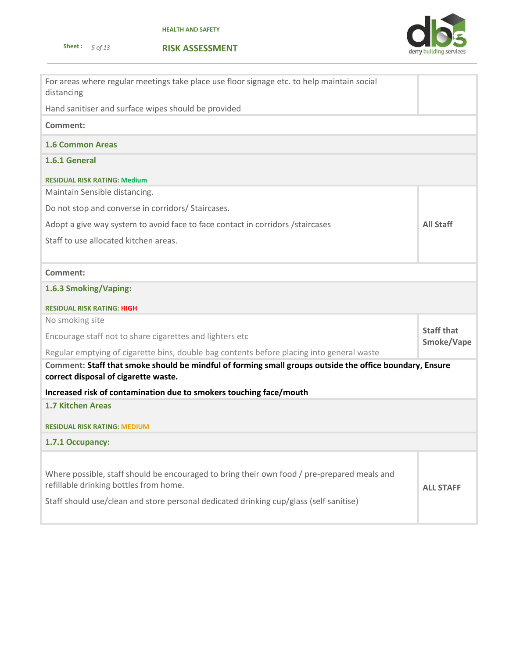



| For areas where regular meetings take place use floor signage etc. to help maintain social<br>distancing                                        |                                 |  |  |
|-------------------------------------------------------------------------------------------------------------------------------------------------|---------------------------------|--|--|
| Hand sanitiser and surface wipes should be provided                                                                                             |                                 |  |  |
| Comment:                                                                                                                                        |                                 |  |  |
| <b>1.6 Common Areas</b>                                                                                                                         |                                 |  |  |
| 1.6.1 General                                                                                                                                   |                                 |  |  |
| <b>RESIDUAL RISK RATING: Medium</b>                                                                                                             |                                 |  |  |
| Maintain Sensible distancing.                                                                                                                   |                                 |  |  |
| Do not stop and converse in corridors/ Staircases.                                                                                              |                                 |  |  |
| Adopt a give way system to avoid face to face contact in corridors / staircases                                                                 | <b>All Staff</b>                |  |  |
| Staff to use allocated kitchen areas.                                                                                                           |                                 |  |  |
|                                                                                                                                                 |                                 |  |  |
| Comment:                                                                                                                                        |                                 |  |  |
| 1.6.3 Smoking/Vaping:                                                                                                                           |                                 |  |  |
| <b>RESIDUAL RISK RATING: HIGH</b>                                                                                                               |                                 |  |  |
| No smoking site                                                                                                                                 |                                 |  |  |
| Encourage staff not to share cigarettes and lighters etc                                                                                        | <b>Staff that</b><br>Smoke/Vape |  |  |
| Regular emptying of cigarette bins, double bag contents before placing into general waste                                                       |                                 |  |  |
| Comment: Staff that smoke should be mindful of forming small groups outside the office boundary, Ensure<br>correct disposal of cigarette waste. |                                 |  |  |
| Increased risk of contamination due to smokers touching face/mouth                                                                              |                                 |  |  |
| <b>1.7 Kitchen Areas</b>                                                                                                                        |                                 |  |  |
| <b>RESIDUAL RISK RATING: MEDIUM</b>                                                                                                             |                                 |  |  |
| 1.7.1 Occupancy:                                                                                                                                |                                 |  |  |
|                                                                                                                                                 |                                 |  |  |
| Where possible, staff should be encouraged to bring their own food / pre-prepared meals and<br>refillable drinking bottles from home.           | <b>ALL STAFF</b>                |  |  |
| Staff should use/clean and store personal dedicated drinking cup/glass (self sanitise)                                                          |                                 |  |  |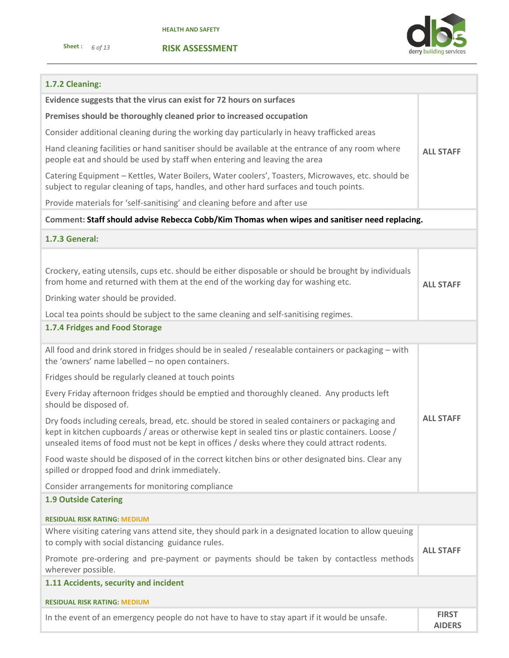



## **1.7.2 Cleaning:**

| Evidence suggests that the virus can exist for 72 hours on surfaces                                                                                                                                                                                                                                                      |                               |  |  |  |  |
|--------------------------------------------------------------------------------------------------------------------------------------------------------------------------------------------------------------------------------------------------------------------------------------------------------------------------|-------------------------------|--|--|--|--|
| Premises should be thoroughly cleaned prior to increased occupation                                                                                                                                                                                                                                                      |                               |  |  |  |  |
| Consider additional cleaning during the working day particularly in heavy trafficked areas                                                                                                                                                                                                                               |                               |  |  |  |  |
| Hand cleaning facilities or hand sanitiser should be available at the entrance of any room where<br>people eat and should be used by staff when entering and leaving the area                                                                                                                                            |                               |  |  |  |  |
| Catering Equipment - Kettles, Water Boilers, Water coolers', Toasters, Microwaves, etc. should be<br>subject to regular cleaning of taps, handles, and other hard surfaces and touch points.                                                                                                                             |                               |  |  |  |  |
| Provide materials for 'self-sanitising' and cleaning before and after use                                                                                                                                                                                                                                                |                               |  |  |  |  |
| Comment: Staff should advise Rebecca Cobb/Kim Thomas when wipes and sanitiser need replacing.                                                                                                                                                                                                                            |                               |  |  |  |  |
| <b>1.7.3 General:</b>                                                                                                                                                                                                                                                                                                    |                               |  |  |  |  |
| Crockery, eating utensils, cups etc. should be either disposable or should be brought by individuals<br>from home and returned with them at the end of the working day for washing etc.<br>Drinking water should be provided.<br>Local tea points should be subject to the same cleaning and self-sanitising regimes.    | <b>ALL STAFF</b>              |  |  |  |  |
| 1.7.4 Fridges and Food Storage                                                                                                                                                                                                                                                                                           |                               |  |  |  |  |
| All food and drink stored in fridges should be in sealed / resealable containers or packaging - with<br>the 'owners' name labelled - no open containers.                                                                                                                                                                 |                               |  |  |  |  |
| Fridges should be regularly cleaned at touch points                                                                                                                                                                                                                                                                      |                               |  |  |  |  |
| Every Friday afternoon fridges should be emptied and thoroughly cleaned. Any products left<br>should be disposed of.                                                                                                                                                                                                     |                               |  |  |  |  |
| <b>ALL STAFF</b><br>Dry foods including cereals, bread, etc. should be stored in sealed containers or packaging and<br>kept in kitchen cupboards / areas or otherwise kept in sealed tins or plastic containers. Loose /<br>unsealed items of food must not be kept in offices / desks where they could attract rodents. |                               |  |  |  |  |
| Food waste should be disposed of in the correct kitchen bins or other designated bins. Clear any<br>spilled or dropped food and drink immediately.                                                                                                                                                                       |                               |  |  |  |  |
| Consider arrangements for monitoring compliance                                                                                                                                                                                                                                                                          |                               |  |  |  |  |
| <b>1.9 Outside Catering</b>                                                                                                                                                                                                                                                                                              |                               |  |  |  |  |
| <b>RESIDUAL RISK RATING: MEDIUM</b>                                                                                                                                                                                                                                                                                      |                               |  |  |  |  |
| Where visiting catering vans attend site, they should park in a designated location to allow queuing<br>to comply with social distancing guidance rules.                                                                                                                                                                 | <b>ALL STAFF</b>              |  |  |  |  |
| Promote pre-ordering and pre-payment or payments should be taken by contactless methods<br>wherever possible.                                                                                                                                                                                                            |                               |  |  |  |  |
| 1.11 Accidents, security and incident                                                                                                                                                                                                                                                                                    |                               |  |  |  |  |
| <b>RESIDUAL RISK RATING: MEDIUM</b>                                                                                                                                                                                                                                                                                      |                               |  |  |  |  |
| In the event of an emergency people do not have to have to stay apart if it would be unsafe.                                                                                                                                                                                                                             | <b>FIRST</b><br><b>AIDERS</b> |  |  |  |  |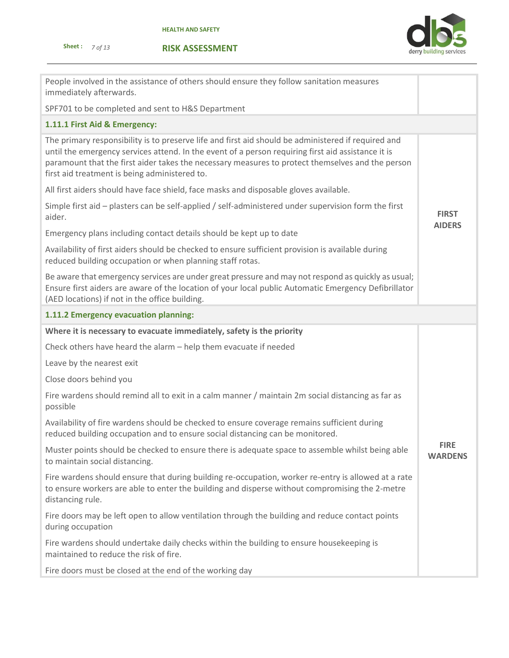



| People involved in the assistance of others should ensure they follow sanitation measures<br>immediately afterwards.                                                                                                                                                                                                                                           |                               |  |  |
|----------------------------------------------------------------------------------------------------------------------------------------------------------------------------------------------------------------------------------------------------------------------------------------------------------------------------------------------------------------|-------------------------------|--|--|
| SPF701 to be completed and sent to H&S Department                                                                                                                                                                                                                                                                                                              |                               |  |  |
| 1.11.1 First Aid & Emergency:                                                                                                                                                                                                                                                                                                                                  |                               |  |  |
| The primary responsibility is to preserve life and first aid should be administered if required and<br>until the emergency services attend. In the event of a person requiring first aid assistance it is<br>paramount that the first aider takes the necessary measures to protect themselves and the person<br>first aid treatment is being administered to. |                               |  |  |
| All first aiders should have face shield, face masks and disposable gloves available.                                                                                                                                                                                                                                                                          |                               |  |  |
| Simple first aid - plasters can be self-applied / self-administered under supervision form the first<br>aider.                                                                                                                                                                                                                                                 | <b>FIRST</b><br><b>AIDERS</b> |  |  |
| Emergency plans including contact details should be kept up to date                                                                                                                                                                                                                                                                                            |                               |  |  |
| Availability of first aiders should be checked to ensure sufficient provision is available during<br>reduced building occupation or when planning staff rotas.                                                                                                                                                                                                 |                               |  |  |
| Be aware that emergency services are under great pressure and may not respond as quickly as usual;<br>Ensure first aiders are aware of the location of your local public Automatic Emergency Defibrillator<br>(AED locations) if not in the office building.                                                                                                   |                               |  |  |
| 1.11.2 Emergency evacuation planning:                                                                                                                                                                                                                                                                                                                          |                               |  |  |
| Where it is necessary to evacuate immediately, safety is the priority                                                                                                                                                                                                                                                                                          |                               |  |  |
| Check others have heard the alarm - help them evacuate if needed                                                                                                                                                                                                                                                                                               |                               |  |  |
| Leave by the nearest exit                                                                                                                                                                                                                                                                                                                                      |                               |  |  |
| Close doors behind you                                                                                                                                                                                                                                                                                                                                         |                               |  |  |
| Fire wardens should remind all to exit in a calm manner / maintain 2m social distancing as far as<br>possible                                                                                                                                                                                                                                                  |                               |  |  |
| Availability of fire wardens should be checked to ensure coverage remains sufficient during<br>reduced building occupation and to ensure social distancing can be monitored.                                                                                                                                                                                   |                               |  |  |
| Muster points should be checked to ensure there is adequate space to assemble whilst being able<br>to maintain social distancing.                                                                                                                                                                                                                              | <b>FIRE</b><br><b>WARDENS</b> |  |  |
| Fire wardens should ensure that during building re-occupation, worker re-entry is allowed at a rate<br>to ensure workers are able to enter the building and disperse without compromising the 2-metre<br>distancing rule.                                                                                                                                      |                               |  |  |
| Fire doors may be left open to allow ventilation through the building and reduce contact points<br>during occupation                                                                                                                                                                                                                                           |                               |  |  |
| Fire wardens should undertake daily checks within the building to ensure housekeeping is<br>maintained to reduce the risk of fire.                                                                                                                                                                                                                             |                               |  |  |
| Fire doors must be closed at the end of the working day                                                                                                                                                                                                                                                                                                        |                               |  |  |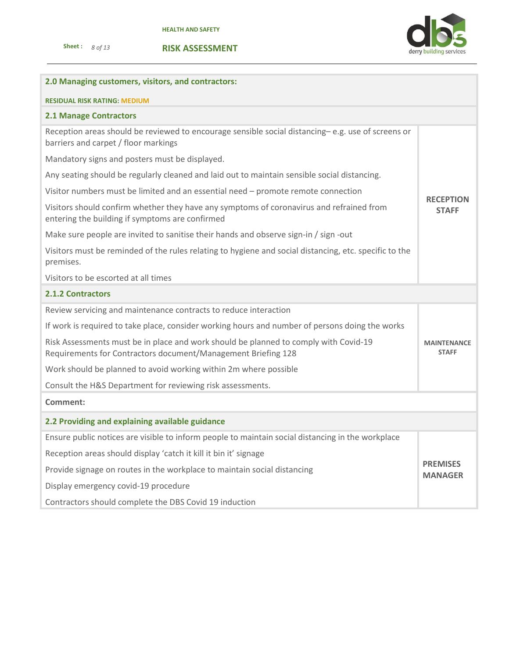



# **2.0 Managing customers, visitors, and contractors: RESIDUAL RISK RATING: MEDIUM 2.1 Manage Contractors** Reception areas should be reviewed to encourage sensible social distancing– e.g. use of screens or barriers and carpet / floor markings Mandatory signs and posters must be displayed. Any seating should be regularly cleaned and laid out to maintain sensible social distancing. Visitor numbers must be limited and an essential need – promote remote connection Visitors should confirm whether they have any symptoms of coronavirus and refrained from entering the building if symptoms are confirmed Make sure people are invited to sanitise their hands and observe sign-in / sign -out Visitors must be reminded of the rules relating to hygiene and social distancing, etc. specific to the premises. Visitors to be escorted at all times **RECEPTION STAFF 2.1.2 Contractors** Review servicing and maintenance contracts to reduce interaction If work is required to take place, consider working hours and number of persons doing the works Risk Assessments must be in place and work should be planned to comply with Covid-19 Requirements for Contractors document/Management Briefing 128 Work should be planned to avoid working within 2m where possible Consult the H&S Department for reviewing risk assessments. **MAINTENANCE STAFF Comment: 2.2 Providing and explaining available guidance** Ensure public notices are visible to inform people to maintain social distancing in the workplace Reception areas should display 'catch it kill it bin it' signage Provide signage on routes in the workplace to maintain social distancing Display emergency covid-19 procedure Contractors should complete the DBS Covid 19 induction **PREMISES MANAGER**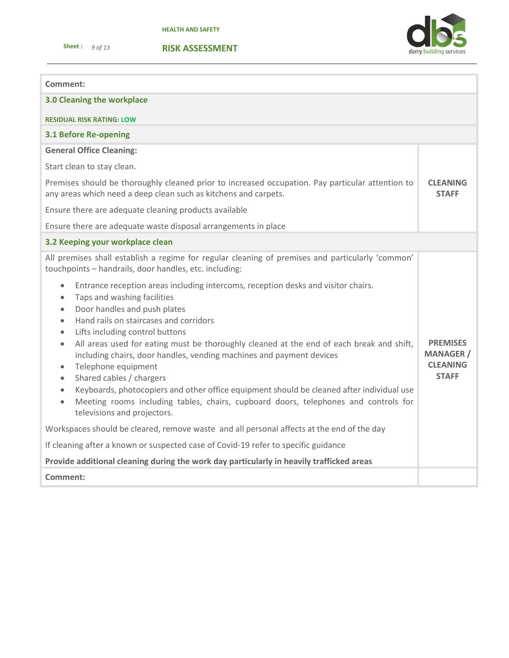**Sheet :** *9 of 13* 



**RISK ASSESSMENT**

## **Comment:**

| 3.0 Cleaning the workplace                                                                                                                                                                                                                                                                                                                                                                                                                                                                                                                                                                                                                                                                                                                                                                                                                                                                                                                                                                                                                                                                                                                                                                                                                             |                                                                        |  |  |
|--------------------------------------------------------------------------------------------------------------------------------------------------------------------------------------------------------------------------------------------------------------------------------------------------------------------------------------------------------------------------------------------------------------------------------------------------------------------------------------------------------------------------------------------------------------------------------------------------------------------------------------------------------------------------------------------------------------------------------------------------------------------------------------------------------------------------------------------------------------------------------------------------------------------------------------------------------------------------------------------------------------------------------------------------------------------------------------------------------------------------------------------------------------------------------------------------------------------------------------------------------|------------------------------------------------------------------------|--|--|
| <b>RESIDUAL RISK RATING: LOW</b>                                                                                                                                                                                                                                                                                                                                                                                                                                                                                                                                                                                                                                                                                                                                                                                                                                                                                                                                                                                                                                                                                                                                                                                                                       |                                                                        |  |  |
| <b>3.1 Before Re-opening</b>                                                                                                                                                                                                                                                                                                                                                                                                                                                                                                                                                                                                                                                                                                                                                                                                                                                                                                                                                                                                                                                                                                                                                                                                                           |                                                                        |  |  |
| <b>General Office Cleaning:</b>                                                                                                                                                                                                                                                                                                                                                                                                                                                                                                                                                                                                                                                                                                                                                                                                                                                                                                                                                                                                                                                                                                                                                                                                                        |                                                                        |  |  |
| Start clean to stay clean.                                                                                                                                                                                                                                                                                                                                                                                                                                                                                                                                                                                                                                                                                                                                                                                                                                                                                                                                                                                                                                                                                                                                                                                                                             |                                                                        |  |  |
| Premises should be thoroughly cleaned prior to increased occupation. Pay particular attention to<br>any areas which need a deep clean such as kitchens and carpets.                                                                                                                                                                                                                                                                                                                                                                                                                                                                                                                                                                                                                                                                                                                                                                                                                                                                                                                                                                                                                                                                                    |                                                                        |  |  |
| Ensure there are adequate cleaning products available                                                                                                                                                                                                                                                                                                                                                                                                                                                                                                                                                                                                                                                                                                                                                                                                                                                                                                                                                                                                                                                                                                                                                                                                  |                                                                        |  |  |
| Ensure there are adequate waste disposal arrangements in place                                                                                                                                                                                                                                                                                                                                                                                                                                                                                                                                                                                                                                                                                                                                                                                                                                                                                                                                                                                                                                                                                                                                                                                         |                                                                        |  |  |
| 3.2 Keeping your workplace clean                                                                                                                                                                                                                                                                                                                                                                                                                                                                                                                                                                                                                                                                                                                                                                                                                                                                                                                                                                                                                                                                                                                                                                                                                       |                                                                        |  |  |
| All premises shall establish a regime for regular cleaning of premises and particularly 'common'<br>touchpoints - handrails, door handles, etc. including:<br>Entrance reception areas including intercoms, reception desks and visitor chairs.<br>$\bullet$<br>Taps and washing facilities<br>$\bullet$<br>Door handles and push plates<br>$\bullet$<br>Hand rails on staircases and corridors<br>$\bullet$<br>Lifts including control buttons<br>$\bullet$<br>All areas used for eating must be thoroughly cleaned at the end of each break and shift,<br>$\bullet$<br>including chairs, door handles, vending machines and payment devices<br>Telephone equipment<br>$\bullet$<br>Shared cables / chargers<br>$\bullet$<br>Keyboards, photocopiers and other office equipment should be cleaned after individual use<br>$\bullet$<br>Meeting rooms including tables, chairs, cupboard doors, telephones and controls for<br>$\bullet$<br>televisions and projectors.<br>Workspaces should be cleared, remove waste and all personal affects at the end of the day<br>If cleaning after a known or suspected case of Covid-19 refer to specific guidance<br>Provide additional cleaning during the work day particularly in heavily trafficked areas | <b>PREMISES</b><br><b>MANAGER /</b><br><b>CLEANING</b><br><b>STAFF</b> |  |  |
| Comment:                                                                                                                                                                                                                                                                                                                                                                                                                                                                                                                                                                                                                                                                                                                                                                                                                                                                                                                                                                                                                                                                                                                                                                                                                                               |                                                                        |  |  |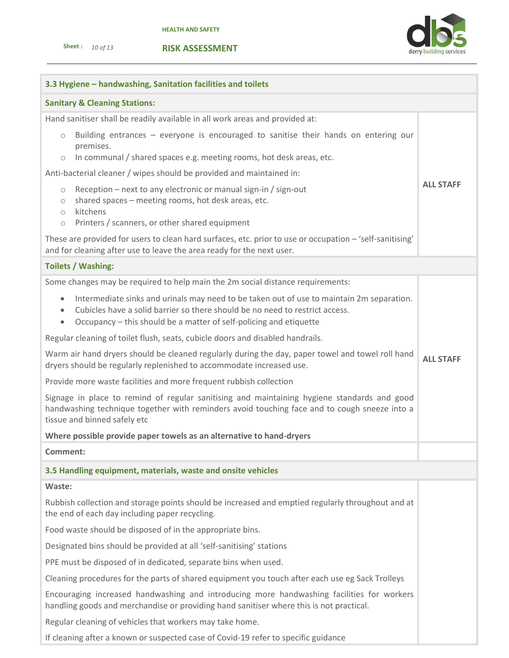**RISK ASSESSMENT**



| 3.3 Hygiene - handwashing, Sanitation facilities and toilets                                                                                                                                                                                                                           |                  |  |  |  |
|----------------------------------------------------------------------------------------------------------------------------------------------------------------------------------------------------------------------------------------------------------------------------------------|------------------|--|--|--|
| <b>Sanitary &amp; Cleaning Stations:</b>                                                                                                                                                                                                                                               |                  |  |  |  |
| Hand sanitiser shall be readily available in all work areas and provided at:                                                                                                                                                                                                           |                  |  |  |  |
| Building entrances – everyone is encouraged to sanitise their hands on entering our<br>$\circ$<br>premises.                                                                                                                                                                            |                  |  |  |  |
| In communal / shared spaces e.g. meeting rooms, hot desk areas, etc.<br>$\circ$                                                                                                                                                                                                        |                  |  |  |  |
| Anti-bacterial cleaner / wipes should be provided and maintained in:                                                                                                                                                                                                                   | <b>ALL STAFF</b> |  |  |  |
| Reception – next to any electronic or manual sign-in / sign-out<br>$\circ$<br>shared spaces - meeting rooms, hot desk areas, etc.<br>$\circ$<br>kitchens<br>$\circ$                                                                                                                    |                  |  |  |  |
| Printers / scanners, or other shared equipment<br>$\circ$                                                                                                                                                                                                                              |                  |  |  |  |
| These are provided for users to clean hard surfaces, etc. prior to use or occupation - 'self-sanitising'<br>and for cleaning after use to leave the area ready for the next user.                                                                                                      |                  |  |  |  |
| <b>Toilets / Washing:</b>                                                                                                                                                                                                                                                              |                  |  |  |  |
| Some changes may be required to help main the 2m social distance requirements:                                                                                                                                                                                                         |                  |  |  |  |
| Intermediate sinks and urinals may need to be taken out of use to maintain 2m separation.<br>$\bullet$<br>Cubicles have a solid barrier so there should be no need to restrict access.<br>$\bullet$<br>Occupancy - this should be a matter of self-policing and etiquette<br>$\bullet$ |                  |  |  |  |
| Regular cleaning of toilet flush, seats, cubicle doors and disabled handrails.                                                                                                                                                                                                         |                  |  |  |  |
| Warm air hand dryers should be cleaned regularly during the day, paper towel and towel roll hand<br>dryers should be regularly replenished to accommodate increased use.                                                                                                               | <b>ALL STAFF</b> |  |  |  |
| Provide more waste facilities and more frequent rubbish collection                                                                                                                                                                                                                     |                  |  |  |  |
| Signage in place to remind of regular sanitising and maintaining hygiene standards and good<br>handwashing technique together with reminders avoid touching face and to cough sneeze into a<br>tissue and binned safely etc                                                            |                  |  |  |  |
| Where possible provide paper towels as an alternative to hand-dryers                                                                                                                                                                                                                   |                  |  |  |  |
| Comment:                                                                                                                                                                                                                                                                               |                  |  |  |  |
| 3.5 Handling equipment, materials, waste and onsite vehicles                                                                                                                                                                                                                           |                  |  |  |  |
| Waste:                                                                                                                                                                                                                                                                                 |                  |  |  |  |
| Rubbish collection and storage points should be increased and emptied regularly throughout and at<br>the end of each day including paper recycling.                                                                                                                                    |                  |  |  |  |
| Food waste should be disposed of in the appropriate bins.                                                                                                                                                                                                                              |                  |  |  |  |
| Designated bins should be provided at all 'self-sanitising' stations                                                                                                                                                                                                                   |                  |  |  |  |
| PPE must be disposed of in dedicated, separate bins when used.                                                                                                                                                                                                                         |                  |  |  |  |
| Cleaning procedures for the parts of shared equipment you touch after each use eg Sack Trolleys                                                                                                                                                                                        |                  |  |  |  |
| Encouraging increased handwashing and introducing more handwashing facilities for workers<br>handling goods and merchandise or providing hand sanitiser where this is not practical.                                                                                                   |                  |  |  |  |
| Regular cleaning of vehicles that workers may take home.                                                                                                                                                                                                                               |                  |  |  |  |

If cleaning after a known or suspected case of Covid-19 refer to specific guidance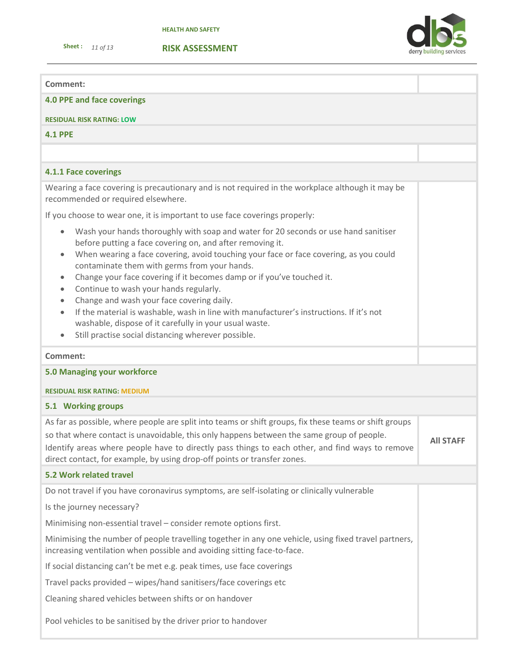**Sheet :** *11 of 13* 



#### **Comment:**

**4.0 PPE and face coverings**

#### **RESIDUAL RISK RATING: LOW**

**4.1 PPE**

## **4.1.1 Face coverings**

Wearing a face covering is precautionary and is not required in the workplace although it may be recommended or required elsewhere.

If you choose to wear one, it is important to use face coverings properly:

- Wash your hands thoroughly with soap and water for 20 seconds or use hand sanitiser before putting a face covering on, and after removing it.
- When wearing a face covering, avoid touching your face or face covering, as you could contaminate them with germs from your hands.
- Change your face covering if it becomes damp or if you've touched it.
- Continue to wash your hands regularly.
- Change and wash your face covering daily.
- If the material is washable, wash in line with manufacturer's instructions. If it's not washable, dispose of it carefully in your usual waste.
- Still practise social distancing wherever possible.

#### **Comment:**

### **5.0 Managing your workforce**

#### **RESIDUAL RISK RATING: MEDIUM**

## **5.1 Working groups**

As far as possible, where people are split into teams or shift groups, fix these teams or shift groups so that where contact is unavoidable, this only happens between the same group of people. Identify areas where people have to directly pass things to each other, and find ways to remove direct contact, for example, by using drop-off points or transfer zones. **All STAFF**

## **5.2 Work related travel**

Do not travel if you have coronavirus symptoms, are self-isolating or clinically vulnerable

Is the journey necessary?

Minimising non-essential travel – consider remote options first.

Minimising the number of people travelling together in any one vehicle, using fixed travel partners, increasing ventilation when possible and avoiding sitting face-to-face.

If social distancing can't be met e.g. peak times, use face coverings

Travel packs provided – wipes/hand sanitisers/face coverings etc

Cleaning shared vehicles between shifts or on handover

Pool vehicles to be sanitised by the driver prior to handover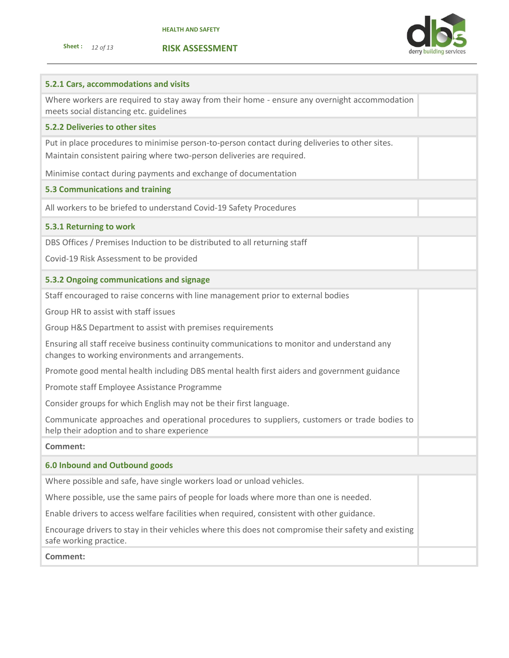



| 5.2.1 Cars, accommodations and visits                                                                                                                                   |
|-------------------------------------------------------------------------------------------------------------------------------------------------------------------------|
| Where workers are required to stay away from their home - ensure any overnight accommodation<br>meets social distancing etc. guidelines                                 |
| 5.2.2 Deliveries to other sites                                                                                                                                         |
| Put in place procedures to minimise person-to-person contact during deliveries to other sites.<br>Maintain consistent pairing where two-person deliveries are required. |
| Minimise contact during payments and exchange of documentation                                                                                                          |
| <b>5.3 Communications and training</b>                                                                                                                                  |
| All workers to be briefed to understand Covid-19 Safety Procedures                                                                                                      |
| 5.3.1 Returning to work                                                                                                                                                 |
| DBS Offices / Premises Induction to be distributed to all returning staff                                                                                               |
| Covid-19 Risk Assessment to be provided                                                                                                                                 |
| 5.3.2 Ongoing communications and signage                                                                                                                                |
| Staff encouraged to raise concerns with line management prior to external bodies                                                                                        |
| Group HR to assist with staff issues                                                                                                                                    |
| Group H&S Department to assist with premises requirements                                                                                                               |
| Ensuring all staff receive business continuity communications to monitor and understand any<br>changes to working environments and arrangements.                        |
| Promote good mental health including DBS mental health first aiders and government guidance                                                                             |
| Promote staff Employee Assistance Programme                                                                                                                             |
| Consider groups for which English may not be their first language.                                                                                                      |
| Communicate approaches and operational procedures to suppliers, customers or trade bodies to<br>help their adoption and to share experience                             |
| <b>Comment:</b>                                                                                                                                                         |
| <b>6.0 Inbound and Outbound goods</b>                                                                                                                                   |
| Where possible and safe, have single workers load or unload vehicles.                                                                                                   |
| Where possible, use the same pairs of people for loads where more than one is needed.                                                                                   |
| Enable drivers to access welfare facilities when required, consistent with other guidance.                                                                              |
| Encourage drivers to stay in their vehicles where this does not compromise their safety and existing<br>safe working practice.                                          |
| Comment:                                                                                                                                                                |